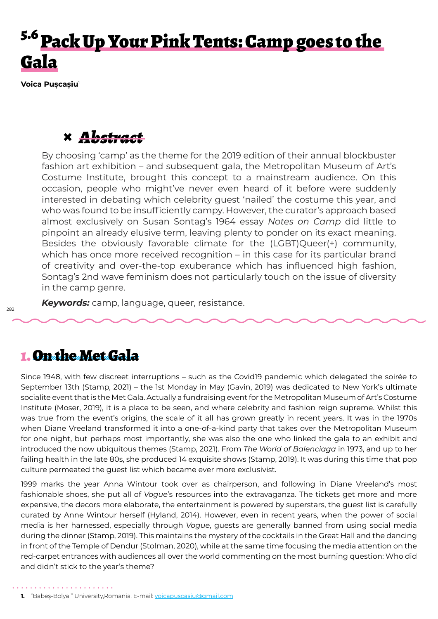# <sup>5.6</sup> Pack Up Your Pink Tents: Camp goes to the Gala

**Voica Pușcașiu**<sup>1</sup>

# **×** *Abstract*

By choosing 'camp' as the theme for the 2019 edition of their annual blockbuster fashion art exhibition – and subsequent gala, the Metropolitan Museum of Art's Costume Institute, brought this concept to a mainstream audience. On this occasion, people who might've never even heard of it before were suddenly interested in debating which celebrity guest 'nailed' the costume this year, and who was found to be insufficiently campy. However, the curator's approach based almost exclusively on Susan Sontag's 1964 essay *Notes on Camp* did little to pinpoint an already elusive term, leaving plenty to ponder on its exact meaning. Besides the obviously favorable climate for the (LGBT)Queer(+) community, which has once more received recognition – in this case for its particular brand of creativity and over-the-top exuberance which has influenced high fashion, Sontag's 2nd wave feminism does not particularly touch on the issue of diversity in the camp genre.

*Keywords:* camp, language, queer, resistance.

#### 1. On the Met Gala

Since 1948, with few discreet interruptions – such as the Covid19 pandemic which delegated the soirée to September 13th (Stamp, 2021) – the 1st Monday in May (Gavin, 2019) was dedicated to New York's ultimate socialite event that is the Met Gala. Actually a fundraising event for the Metropolitan Museum of Art's Costume Institute (Moser, 2019), it is a place to be seen, and where celebrity and fashion reign supreme. Whilst this was true from the event's origins, the scale of it all has grown greatly in recent years. It was in the 1970s when Diane Vreeland transformed it into a one-of-a-kind party that takes over the Metropolitan Museum for one night, but perhaps most importantly, she was also the one who linked the gala to an exhibit and introduced the now ubiquitous themes (Stamp, 2021). From *The World of Balenciaga* in 1973, and up to her failing health in the late 80s, she produced 14 exquisite shows (Stamp, 2019). It was during this time that pop culture permeated the guest list which became ever more exclusivist.

1999 marks the year Anna Wintour took over as chairperson, and following in Diane Vreeland's most fashionable shoes, she put all of *Vogue*'s resources into the extravaganza. The tickets get more and more expensive, the decors more elaborate, the entertainment is powered by superstars, the guest list is carefully curated by Anne Wintour herself (Hyland, 2014). However, even in recent years, when the power of social media is her harnessed, especially through *Vogue*, guests are generally banned from using social media during the dinner (Stamp, 2019). This maintains the mystery of the cocktails in the Great Hall and the dancing in front of the Temple of Dendur (Stolman, 2020), while at the same time focusing the media attention on the red-carpet entrances with audiences all over the world commenting on the most burning question: Who did and didn't stick to the year's theme?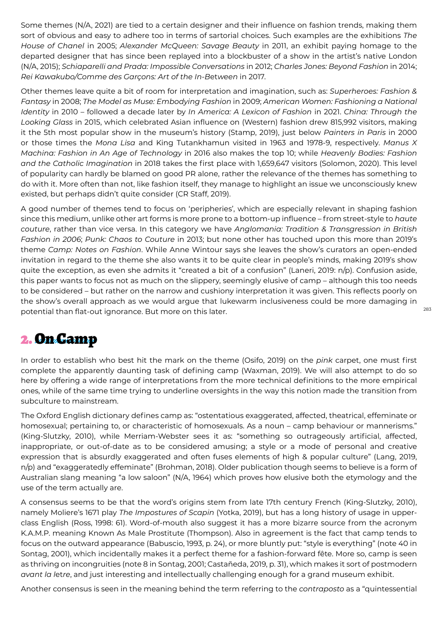Some themes (N/A, 2021) are tied to a certain designer and their influence on fashion trends, making them sort of obvious and easy to adhere too in terms of sartorial choices. Such examples are the exhibitions *The House of Chanel* in 2005; *Alexander McQueen: Savage Beauty* in 2011, an exhibit paying homage to the departed designer that has since been replayed into a blockbuster of a show in the artist's native London (N/A, 2015); *Schiaparelli and Prada: Impossible Conversations* in 2012; *Charles Jones: Beyond Fashion* in 2014; *Rei Kawakubo/Comme des Garçons: Art of the In-B*et*ween* in 2017.

Other themes leave quite a bit of room for interpretation and imagination, such as: *Superheroes: Fashion & Fantasy* in 2008; *The Model as Muse: Embodying Fashion* in 2009; *American Women: Fashioning a National Identity* in 2010 – followed a decade later by *In America: A Lexicon of Fashion* in 2021. *China: Through the Looking Glass* in 2015, which celebrated Asian influence on (Western) fashion drew 815,992 visitors, making it the 5th most popular show in the museum's history (Stamp, 2019), just below *Painters in Paris* in 2000 or those times the *Mona Lisa* and King Tutankhamun visited in 1963 and 1978-9, respectively. *Manus X Machina: Fashion in An Age of Technology* in 2016 also makes the top 10; while *Heavenly Bodies: Fashion and the Catholic Imagination* in 2018 takes the first place with 1,659,647 visitors (Solomon, 2020). This level of popularity can hardly be blamed on good PR alone, rather the relevance of the themes has something to do with it. More often than not, like fashion itself, they manage to highlight an issue we unconsciously knew existed, but perhaps didn't quite consider (CR Staff, 2019).

A good number of themes tend to focus on 'peripheries', which are especially relevant in shaping fashion since this medium, unlike other art forms is more prone to a bottom-up influence – from street-style to *haute couture*, rather than vice versa. In this category we have *Anglomania: Tradition & Transgression in British Fashion in 2006*; *Punk: Chaos to Couture* in 2013; but none other has touched upon this more than 2019's theme *Camp: Notes on Fashion*. While Anne Wintour says she leaves the show's curators an open-ended invitation in regard to the theme she also wants it to be quite clear in people's minds, making 2019's show quite the exception, as even she admits it "created a bit of a confusion" (Laneri, 2019: n/p). Confusion aside, this paper wants to focus not as much on the slippery, seemingly elusive of camp – although this too needs to be considered – but rather on the narrow and cushiony interpretation it was given. This reflects poorly on the show's overall approach as we would argue that lukewarm inclusiveness could be more damaging in potential than flat-out ignorance. But more on this later.

283

### 2. On Camp

In order to establish who best hit the mark on the theme (Osifo, 2019) on the *pink* carpet, one must first complete the apparently daunting task of defining camp (Waxman, 2019). We will also attempt to do so here by offering a wide range of interpretations from the more technical definitions to the more empirical ones, while of the same time trying to underline oversights in the way this notion made the transition from subculture to mainstream.

The Oxford English dictionary defines camp as: "ostentatious exaggerated, affected, theatrical, effeminate or homosexual; pertaining to, or characteristic of homosexuals. As a noun – camp behaviour or mannerisms." (King-Slutzky, 2010), while Merriam-Webster sees it as: "something so outrageously artificial, affected, inappropriate, or out-of-date as to be considered amusing; a style or a mode of personal and creative expression that is absurdly exaggerated and often fuses elements of high & popular culture" (Lang, 2019, n/p) and "exaggeratedly effeminate" (Brohman, 2018). Older publication though seems to believe is a form of Australian slang meaning "a low saloon" (N/A, 1964) which proves how elusive both the etymology and the use of the term actually are.

A consensus seems to be that the word's origins stem from late 17th century French (King-Slutzky, 2010), namely Moliere's 1671 play *The Impostures of Scapin* (Yotka, 2019), but has a long history of usage in upperclass English (Ross, 1998: 61). Word-of-mouth also suggest it has a more bizarre source from the acronym K.A.M.P. meaning Known As Male Prostitute (Thompson). Also in agreement is the fact that camp tends to focus on the outward appearance (Babuscio, 1993, p. 24), or more bluntly put: "style is everything" (note 40 in Sontag, 2001), which incidentally makes it a perfect theme for a fashion-forward fête. More so, camp is seen as thriving on incongruities (note 8 in Sontag, 2001; Castañeda, 2019, p. 31), which makes it sort of postmodern *avant la l*et*re*, and just interesting and intellectually challenging enough for a grand museum exhibit.

Another consensus is seen in the meaning behind the term referring to the *contraposto* as a "quintessential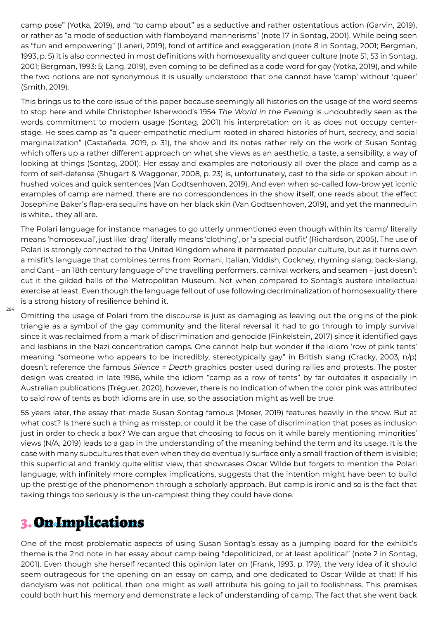camp pose" (Yotka, 2019), and "to camp about" as a seductive and rather ostentatious action (Garvin, 2019), or rather as "a mode of seduction with flamboyand mannerisms" (note 17 in Sontag, 2001). While being seen as "fun and empowering" (Laneri, 2019), fond of artifice and exaggeration (note 8 in Sontag, 2001; Bergman, 1993, p. 5) it is also connected in most definitions with homosexuality and queer culture (note 51, 53 in Sontag, 2001; Bergman, 1993: 5; Lang, 2019), even coming to be defined as a code word for gay (Yotka, 2019), and while the two notions are not synonymous it is usually understood that one cannot have 'camp' without 'queer' (Smith, 2019).

This brings us to the core issue of this paper because seemingly all histories on the usage of the word seems to stop here and while Christopher Isherwood's 1954 *The World in the Evening* is undoubtedly seen as the words commitment to modern usage (Sontag, 2001) his interpretation on it as does not occupy centerstage. He sees camp as "a queer-empathetic medium rooted in shared histories of hurt, secrecy, and social marginalization" (Castañeda, 2019, p. 31), the show and its notes rather rely on the work of Susan Sontag which offers up a rather different approach on what she views as an aesthetic, a taste, a sensibility, a way of looking at things (Sontag, 2001). Her essay and examples are notoriously all over the place and camp as a form of self-defense (Shugart & Waggoner, 2008, p. 23) is, unfortunately, cast to the side or spoken about in hushed voices and quick sentences (Van Godtsenhoven, 2019). And even when so-called low-brow yet iconic examples of camp are named, there are no correspondences in the show itself, one reads about the effect Josephine Baker's flap-era sequins have on her black skin (Van Godtsenhoven, 2019), and yet the mannequin is white… they all are.

The Polari language for instance manages to go utterly unmentioned even though within its 'camp' literally means 'homosexual', just like 'drag' literally means 'clothing', or 'a special outfit' (Richardson, 2005). The use of Polari is strongly connected to the United Kingdom where it permeated popular culture, but as it turns own a misfit's language that combines terms from Romani, Italian, Yiddish, Cockney, rhyming slang, back-slang, and Cant – an 18th century language of the travelling performers, carnival workers, and seamen – just doesn't cut it the gilded halls of the Metropolitan Museum. Not when compared to Sontag's austere intellectual exercise at least. Even though the language fell out of use following decriminalization of homosexuality there is a strong history of resilience behind it.

Omitting the usage of Polari from the discourse is just as damaging as leaving out the origins of the pink triangle as a symbol of the gay community and the literal reversal it had to go through to imply survival since it was reclaimed from a mark of discrimination and genocide (Finkelstein, 2017) since it identified gays and lesbians in the Nazi concentration camps. One cannot help but wonder if the idiom 'row of pink tents' meaning "someone who appears to be incredibly, stereotypically gay" in British slang (Cracky, 2003, n/p) doesn't reference the famous *Silence = Death* graphics poster used during rallies and protests. The poster design was created in late 1986, while the idiom "camp as a row of tents" by far outdates it especially in Australian publications (Tréguer, 2020), however, there is no indication of when the color pink was attributed to said row of tents as both idioms are in use, so the association might as well be true.

55 years later, the essay that made Susan Sontag famous (Moser, 2019) features heavily in the show. But at what cost? Is there such a thing as misstep, or could it be the case of discrimination that poses as inclusion just in order to check a box? We can argue that choosing to focus on it while barely mentioning minorities' views (N/A, 2019) leads to a gap in the understanding of the meaning behind the term and its usage. It is the case with many subcultures that even when they do eventually surface only a small fraction of them is visible; this superficial and frankly quite elitist view, that showcases Oscar Wilde but forgets to mention the Polari language, with infinitely more complex implications, suggests that the intention might have been to build up the prestige of the phenomenon through a scholarly approach. But camp is ironic and so is the fact that taking things too seriously is the un-campiest thing they could have done.

## 3. On Implications

284

One of the most problematic aspects of using Susan Sontag's essay as a jumping board for the exhibit's theme is the 2nd note in her essay about camp being "depoliticized, or at least apolitical" (note 2 in Sontag, 2001). Even though she herself recanted this opinion later on (Frank, 1993, p. 179), the very idea of it should seem outrageous for the opening on an essay on camp, and one dedicated to Oscar Wilde at that! If his dandyism was not political, then one might as well attribute his going to jail to foolishness. This premises could both hurt his memory and demonstrate a lack of understanding of camp. The fact that she went back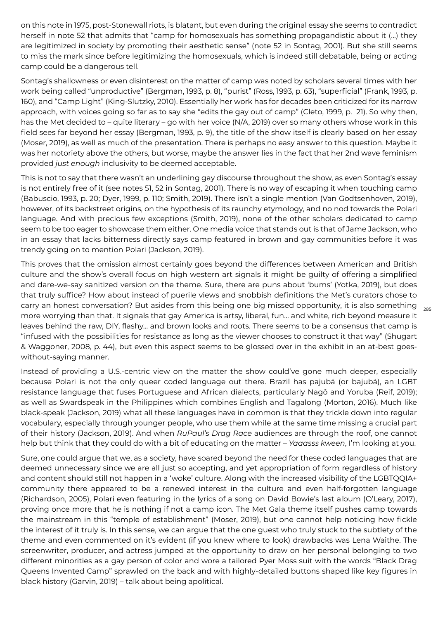on this note in 1975, post-Stonewall riots, is blatant, but even during the original essay she seems to contradict herself in note 52 that admits that "camp for homosexuals has something propagandistic about it (…) they are legitimized in society by promoting their aesthetic sense" (note 52 in Sontag, 2001). But she still seems to miss the mark since before legitimizing the homosexuals, which is indeed still debatable, being or acting camp could be a dangerous tell.

Sontag's shallowness or even disinterest on the matter of camp was noted by scholars several times with her work being called "unproductive" (Bergman, 1993, p. 8), "purist" (Ross, 1993, p. 63), "superficial" (Frank, 1993, p. 160), and "Camp Light" (King-Slutzky, 2010). Essentially her work has for decades been criticized for its narrow approach, with voices going so far as to say she "edits the gay out of camp" (Cleto, 1999, p. 21). So why then, has the Met decided to – quite literary – go with her voice (N/A, 2019) over so many others whose work in this field sees far beyond her essay (Bergman, 1993, p. 9), the title of the show itself is clearly based on her essay (Moser, 2019), as well as much of the presentation. There is perhaps no easy answer to this question. Maybe it was her notoriety above the others, but worse, maybe the answer lies in the fact that her 2nd wave feminism provided *just enough* inclusivity to be deemed acceptable.

This is not to say that there wasn't an underlining gay discourse throughout the show, as even Sontag's essay is not entirely free of it (see notes 51, 52 in Sontag, 2001). There is no way of escaping it when touching camp (Babuscio, 1993, p. 20; Dyer, 1999, p. 110; Smith, 2019). There isn't a single mention (Van Godtsenhoven, 2019), however, of its backstreet origins, on the hypothesis of its raunchy etymology, and no nod towards the Polari language. And with precious few exceptions (Smith, 2019), none of the other scholars dedicated to camp seem to be too eager to showcase them either. One media voice that stands out is that of Jame Jackson, who in an essay that lacks bitterness directly says camp featured in brown and gay communities before it was trendy going on to mention Polari (Jackson, 2019).

carry an honest conversation? But asides from this being one big missed opportunity, it is also something  $\;\;_{\rm 285}$ This proves that the omission almost certainly goes beyond the differences between American and British culture and the show's overall focus on high western art signals it might be guilty of offering a simplified and dare-we-say sanitized version on the theme. Sure, there are puns about 'bums' (Yotka, 2019), but does that truly suffice? How about instead of puerile views and snobbish definitions the Met's curators chose to more worrying than that. It signals that gay America is artsy, liberal, fun… and white, rich beyond measure it leaves behind the raw, DIY, flashy… and brown looks and roots. There seems to be a consensus that camp is "infused with the possibilities for resistance as long as the viewer chooses to construct it that way" (Shugart & Waggoner, 2008, p. 44), but even this aspect seems to be glossed over in the exhibit in an at-best goeswithout-saying manner.

Instead of providing a U.S.-centric view on the matter the show could've gone much deeper, especially because Polari is not the only queer coded language out there. Brazil has pajubá (or bajubá), an LGBT resistance language that fuses Portuguese and African dialects, particularly Nagô and Yoruba (Reif, 2019); as well as Swardspeak in the Philippines which combines English and Tagalong (Morton, 2016). Much like black-speak (Jackson, 2019) what all these languages have in common is that they trickle down into regular vocabulary, especially through younger people, who use them while at the same time missing a crucial part of their history (Jackson, 2019). And when *RuPaul's Drag Race* audiences are through the roof, one cannot help but think that they could do with a bit of educating on the matter – *Yaaasss kween*, I'm looking at you.

Sure, one could argue that we, as a society, have soared beyond the need for these coded languages that are deemed unnecessary since we are all just so accepting, and yet appropriation of form regardless of history and content should still not happen in a 'woke' culture. Along with the increased visibility of the LGBTQQIA+ community there appeared to be a renewed interest in the culture and even half-forgotten language (Richardson, 2005), Polari even featuring in the lyrics of a song on David Bowie's last album (O'Leary, 2017), proving once more that he is nothing if not a camp icon. The Met Gala theme itself pushes camp towards the mainstream in this "temple of establishment" (Moser, 2019), but one cannot help noticing how fickle the interest of it truly is. In this sense, we can argue that the one guest who truly stuck to the subtlety of the theme and even commented on it's evident (if you knew where to look) drawbacks was Lena Waithe. The screenwriter, producer, and actress jumped at the opportunity to draw on her personal belonging to two different minorities as a gay person of color and wore a tailored Pyer Moss suit with the words "Black Drag Queens Invented Camp" sprawled on the back and with highly-detailed buttons shaped like key figures in black history (Garvin, 2019) – talk about being apolitical.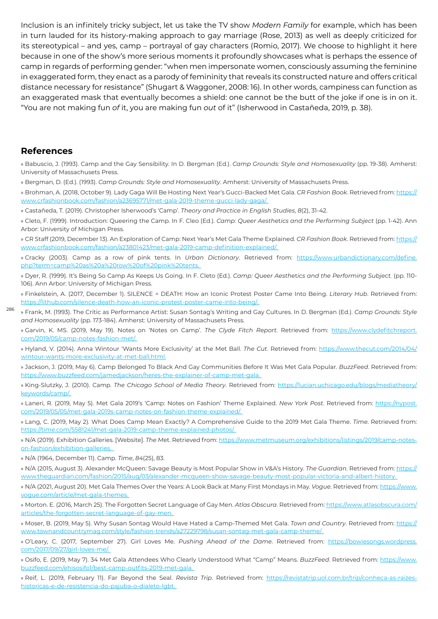Inclusion is an infinitely tricky subject, let us take the TV show *Modern Family* for example, which has been in turn lauded for its history-making approach to gay marriage (Rose, 2013) as well as deeply criticized for its stereotypical – and yes, camp – portrayal of gay characters (Romio, 2017). We choose to highlight it here because in one of the show's more serious moments it profoundly showcases what is perhaps the essence of camp in regards of performing gender: "when men impersonate women, consciously assuming the feminine in exaggerated form, they enact as a parody of femininity that reveals its constructed nature and offers critical distance necessary for resistance" (Shugart & Waggoner, 2008: 16). In other words, campiness can function as an exaggerated mask that eventually becomes a shield: one cannot be the butt of the joke if one is in on it. "You are not making fun *of* it, you are making fun *out* of it" (Isherwood in Castañeda, 2019, p. 38).

#### **References**

286

» Babuscio, J. (1993). Camp and the Gay Sensibility. In D. Bergman (Ed.). *Camp Grounds: Style and Homosexuality* (pp. 19-38). Amherst: University of Massachusets Press.

» Bergman, D. (Ed.). (1993). *Camp Grounds: Style and Homosexuality*. Amherst: University of Massachusets Press.

» Brohman, A. (2018, October 9). Lady Gaga Will Be Hosting Next Year's Gucci-Backed Met Gala. *CR Fashion Book*. Retrieved from: https:// www.crfashionbook.com/fashion/a23695771/met-gala-2019-theme-gucci-lady-gaga/.

» Castañeda, T. (2019). Christopher Isherwood's 'Camp'. *Theory and Practice in English Studies*, *8*(2), 31-42.

» Cleto, F. (1999). Introduction: Queering the Camp. In F. Cleo (Ed.). *Camp: Queer Aesth*et*ics and the Performing Subject* (pp. 1-42). Ann Arbor: University of Michigan Press.

» CR Staff (2019, December 13). An Exploration of Camp: Next Year's Met Gala Theme Explained. *CR Fashion Book*. Retrieved from: https:// www.crfashionbook.com/fashion/a23801423/met-gala-2019-camp-definition-explained/.

» Cracky (2003). Camp as a row of pink tents. In *Urban Dictionary*. Retrieved from: https://www.urbandictionary.com/define. php?term=camp%20as%20a%20row%20of%20pink%20tents.

» Dyer, R. (1999). It's Being So Camp As Keeps Us Going. In F. Cleto (Ed.). *Camp: Queer Aesth*et*ics and the Performing Subject.* (pp. 110- 106). Ann Arbor: University of Michigan Press.

» Finkelstein, A. (2017, December 1). SILENCE = DEATH: How an Iconic Protest Poster Came Into Being. *Literary Hub*. Retrieved from: https://lithub.com/silence-death-how-an-iconic-protest-poster-came-into-being/.

» Frank, M. (1993). The Critic as Performance Artist: Susan Sontag's Writing and Gay Cultures. In D. Bergman (Ed.). *Camp Grounds: Style and Homosexuality* (pp. 173-184). Amherst: University of Massachusets Press.

» Garvin, K. MS. (2019, May 19). Notes on 'Notes on Camp'. *The Clyde Fitch Report*. Retrieved from: https://www.clydefitchreport. com/2019/05/camp-notes-fashion-met/.

» Hyland, V. (2014). Anna Wintour 'Wants More Exclusivity' at the Met Ball. *The Cut*. Retrieved from: https://www.thecut.com/2014/04/ wintour-wants-more-exclusivity-at-met-ball.html.

» Jackson, J. (2019, May 6). Camp Belonged To Black And Gay Communities Before It Was Met Gala Popular. *BuzzFeed*. Retrieved from: https://www.buzzfeed.com/jamedjackson/heres-the-explainer-of-camp-met-gala.

» King-Slutzky, J. (2010). Camp. *The Chicago School of Media Theory*. Retrieved from: https://lucian.uchicago.edu/blogs/mediatheory/ keywords/camp/.

» Laneri, R. (2019, May 5). Met Gala 2019's 'Camp: Notes on Fashion' Theme Explained. *New York Post*. Retrieved from: https://nypost. com/2019/05/05/met-gala-2019s-camp-notes-on-fashion-theme-explained/.

» Lang, C. (2019, May 2). What Does Camp Mean Exactly? A Comprehensive Guide to the 2019 Met Gala Theme. *Time*. Retrieved from: https://time.com/5581241/met-gala-2019-camp-theme-explained-photos/.

» N/A (2019). Exhibition Galleries. [Website]. *The M*et. Retrieved from: https://www.metmuseum.org/exhibitions/listings/2019/camp-noteson-fashion/exhibition-galleries.

» N/A (1964, December 11). Camp. *Time*, *84*(25), 83.

» N/A (2015, August 3). Alexander McQueen: Savage Beauty is Most Popular Show in V&A's History. *The Guardian*. Retrieved from: https:// www.theguardian.com/fashion/2015/aug/03/alexander-mcqueen-show-savage-beauty-most-popular-victoria-and-albert-history.

» N/A (2021, August 20). Met Gala Themes Over the Years: A Look Back at Many First Mondays in May. *Vogue*. Retrieved from: https://www. vogue.com/article/met-gala-themes.

» Morton. E. (2016, March 25). The Forgotten Secret Language of Gay Men. *Atlas Obscura*. Retrieved from: https://www.atlasobscura.com/ articles/the-forgotten-secret-language-of-gay-men.

» Moser, B. (2019, May 5). Why Susan Sontag Would Have Hated a Camp-Themed Met Gala. *Town and Country*. Retrieved from: https:// www.townandcountrymag.com/style/fashion-trends/a27229798/susan-sontag-met-gala-camp-theme/.

» O'Leary, C. (2017, September 27). Girl Loves Me. *Pushing Ahead of the Dame*. Retrieved from: https://bowiesongs.wordpress. com/2017/09/27/girl-loves-me/.

» Osifo, E. (2019, May 7). 34 Met Gala Attendees Who Clearly Understood What "Camp" Means. *BuzzFeed*. Retrieved from: https://www. buzzfeed.com/ehisosifo1/best-camp-outfits-2019-met-gala.

» Reif, L. (2019, February 11). Far Beyond the Seal. *Revista Trip*. Retrieved from: https://revistatrip.uol.com.br/trip/conheca-as-raizeshistoricas-e-de-resistencia-do-pajuba-o-dialeto-lgbt.